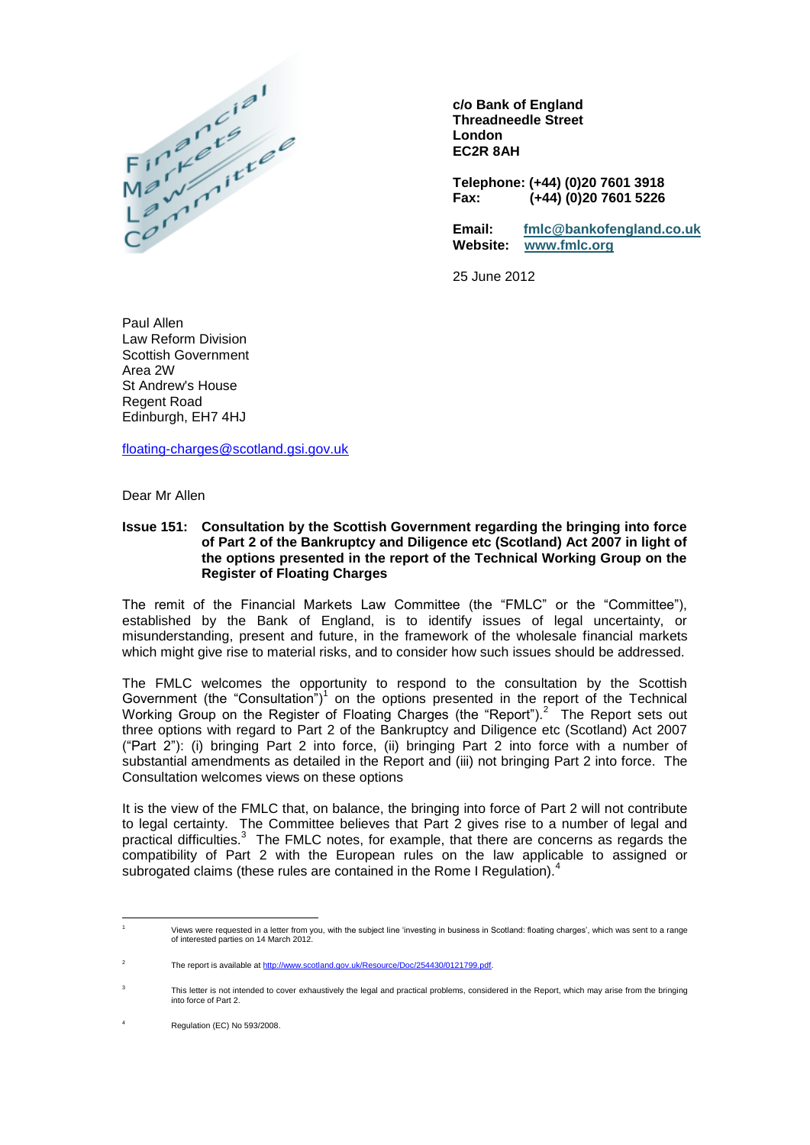

**c/o Bank of England Threadneedle Street London EC2R 8AH**

**Telephone: (+44) (0)20 7601 3918 Fax: (+44) (0)20 7601 5226**

**Email: [fmlc@bankofengland.co.uk](mailto:fmlc@bankofengland.co.uk) Website: [www.fmlc.org](http://www.fmlc.org/)**

25 June 2012

Paul Allen Law Reform Division Scottish Government Area 2W St Andrew's House Regent Road Edinburgh, EH7 4HJ

[floating-charges@scotland.gsi.gov.uk](mailto:floating-charges@scotland.gsi.gov.uk)

Dear Mr Allen

## **Issue 151: Consultation by the Scottish Government regarding the bringing into force of Part 2 of the Bankruptcy and Diligence etc (Scotland) Act 2007 in light of the options presented in the report of the Technical Working Group on the Register of Floating Charges**

The remit of the Financial Markets Law Committee (the "FMLC" or the "Committee"), established by the Bank of England, is to identify issues of legal uncertainty, or misunderstanding, present and future, in the framework of the wholesale financial markets which might give rise to material risks, and to consider how such issues should be addressed.

The FMLC welcomes the opportunity to respond to the consultation by the Scottish Government (the "Consultation")<sup>1</sup> on the options presented in the report of the Technical Working Group on the Register of Floating Charges (the "Report").<sup>2</sup> The Report sets out three options with regard to Part 2 of the Bankruptcy and Diligence etc (Scotland) Act 2007 ("Part 2"): (i) bringing Part 2 into force, (ii) bringing Part 2 into force with a number of substantial amendments as detailed in the Report and (iii) not bringing Part 2 into force. The Consultation welcomes views on these options

It is the view of the FMLC that, on balance, the bringing into force of Part 2 will not contribute to legal certainty. The Committee believes that Part 2 gives rise to a number of legal and practical difficulties.<sup>3</sup> The FMLC notes, for example, that there are concerns as regards the compatibility of Part 2 with the European rules on the law applicable to assigned or subrogated claims (these rules are contained in the Rome I Regulation).

 $\overline{a}$ 

<sup>&</sup>lt;sup>1</sup><br>Of interested parties on 14 March 2012.<br>of interested parties on 14 March 2012.

<sup>2</sup> The report is available a[t http://www.scotland.gov.uk/Resource/Doc/254430/0121799.pdf.](http://www.scotland.gov.uk/Resource/Doc/254430/0121799.pdf)

<sup>3</sup> This letter is not intended to cover exhaustively the legal and practical problems, considered in the Report, which may arise from the bringing into force of Part 2.

Regulation (EC) No 593/2008.